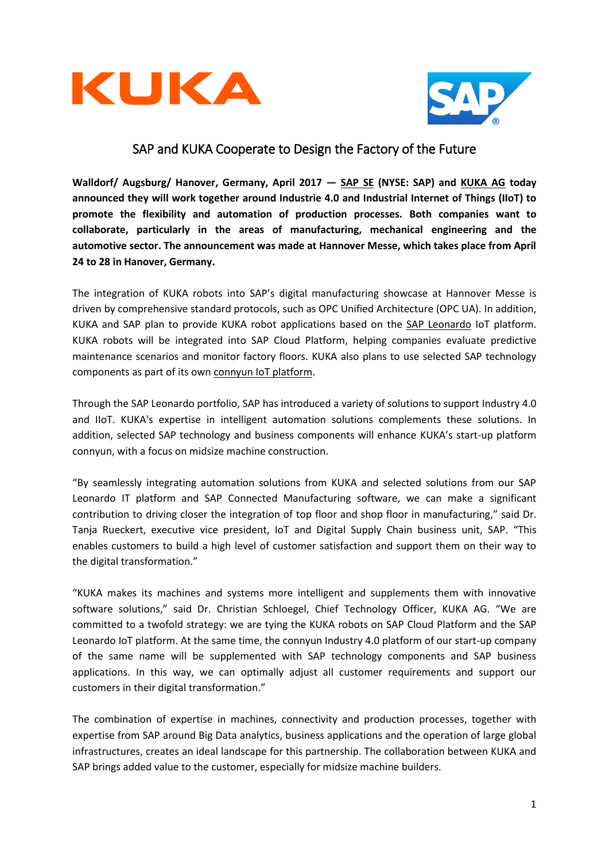



# SAP and KUKA Cooperate to Design the Factory of the Future

**Walldorf/ Augsburg/ Hanover, Germany, April 2017 — [SAP SE](http://www.sap.com/) (NYSE: SAP) and [KUKA](https://www.kuka.com/) AG today announced they will work together around Industrie 4.0 and Industrial Internet of Things (IIoT) to promote the flexibility and automation of production processes. Both companies want to collaborate, particularly in the areas of manufacturing, mechanical engineering and the automotive sector. The announcement was made at Hannover Messe, which takes place from April 24 to 28 in Hanover, Germany.**

The integration of KUKA robots into SAP's digital manufacturing showcase at Hannover Messe is driven by comprehensive standard protocols, such as OPC Unified Architecture (OPC UA). In addition, KUKA and SAP plan to provide KUKA robot applications based on the SAP [Leonardo](https://www.sap.com/documents/2016/12/84e838d6-9d7c-0010-82c7-eda71af511fa.html) IoT platform. KUKA robots will be integrated into SAP Cloud Platform, helping companies evaluate predictive maintenance scenarios and monitor factory floors. KUKA also plans to use selected SAP technology components as part of its own [connyun IoT](https://www.connyun.com/) platform.

Through the SAP Leonardo portfolio, SAP has introduced a variety of solutions to support Industry 4.0 and IIoT. KUKA's expertise in intelligent automation solutions complements these solutions. In addition, selected SAP technology and business components will enhance KUKA's start-up platform connyun, with a focus on midsize machine construction.

"By seamlessly integrating automation solutions from KUKA and selected solutions from our SAP Leonardo IT platform and SAP Connected Manufacturing software, we can make a significant contribution to driving closer the integration of top floor and shop floor in manufacturing," said Dr. Tanja Rueckert, executive vice president, IoT and Digital Supply Chain business unit, SAP. "This enables customers to build a high level of customer satisfaction and support them on their way to the digital transformation."

"KUKA makes its machines and systems more intelligent and supplements them with innovative software solutions," said Dr. Christian Schloegel, Chief Technology Officer, KUKA AG. "We are committed to a twofold strategy: we are tying the KUKA robots on SAP Cloud Platform and the SAP Leonardo IoT platform. At the same time, the connyun Industry 4.0 platform of our start-up company of the same name will be supplemented with SAP technology components and SAP business applications. In this way, we can optimally adjust all customer requirements and support our customers in their digital transformation."

The combination of expertise in machines, connectivity and production processes, together with expertise from SAP around Big Data analytics, business applications and the operation of large global infrastructures, creates an ideal landscape for this partnership. The collaboration between KUKA and SAP brings added value to the customer, especially for midsize machine builders.